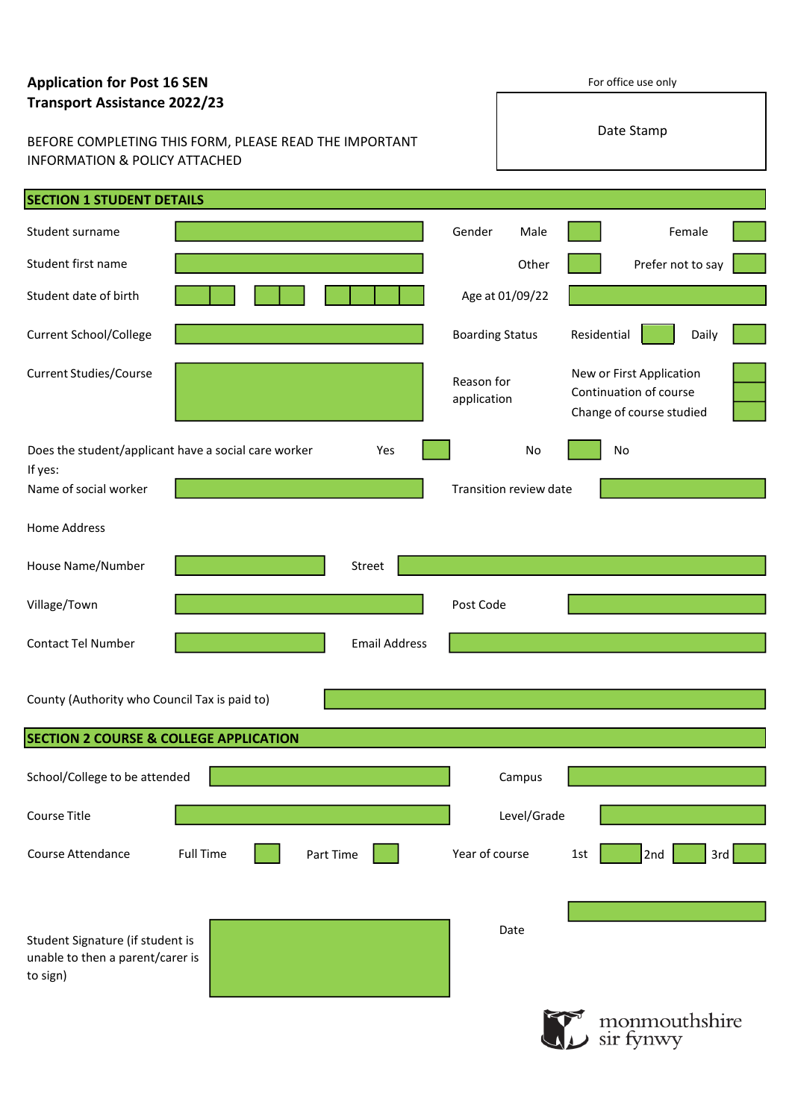# **Application for Post 16 SEN**

| <b>Transport Assistance 2022/23</b>                                                                |                  |                      |                           |                        |             | Date Stamp                                                                     |  |
|----------------------------------------------------------------------------------------------------|------------------|----------------------|---------------------------|------------------------|-------------|--------------------------------------------------------------------------------|--|
| BEFORE COMPLETING THIS FORM, PLEASE READ THE IMPORTANT<br><b>INFORMATION &amp; POLICY ATTACHED</b> |                  |                      |                           |                        |             |                                                                                |  |
| <b>SECTION 1 STUDENT DETAILS</b>                                                                   |                  |                      |                           |                        |             |                                                                                |  |
| Student surname                                                                                    |                  |                      | Gender                    | Male                   |             | Female                                                                         |  |
| Student first name                                                                                 |                  |                      |                           | Other                  |             | Prefer not to say                                                              |  |
| Student date of birth                                                                              |                  |                      |                           | Age at 01/09/22        |             |                                                                                |  |
| <b>Current School/College</b>                                                                      |                  |                      | <b>Boarding Status</b>    |                        | Residential | Daily                                                                          |  |
| <b>Current Studies/Course</b>                                                                      |                  |                      | Reason for<br>application |                        |             | New or First Application<br>Continuation of course<br>Change of course studied |  |
| Does the student/applicant have a social care worker                                               |                  | Yes                  |                           | No                     |             | No                                                                             |  |
| If yes:<br>Name of social worker                                                                   |                  |                      |                           | Transition review date |             |                                                                                |  |
| <b>Home Address</b>                                                                                |                  |                      |                           |                        |             |                                                                                |  |
| House Name/Number                                                                                  |                  | Street               |                           |                        |             |                                                                                |  |
| Village/Town                                                                                       |                  |                      | Post Code                 |                        |             |                                                                                |  |
| <b>Contact Tel Number</b>                                                                          |                  | <b>Email Address</b> |                           |                        |             |                                                                                |  |
| County (Authority who Council Tax is paid to)<br><b>SECTION 2 COURSE &amp; COLLEGE APPLICATION</b> |                  |                      |                           |                        |             |                                                                                |  |
|                                                                                                    |                  |                      |                           |                        |             |                                                                                |  |
| School/College to be attended                                                                      |                  |                      |                           | Campus                 |             |                                                                                |  |
| Course Title                                                                                       |                  |                      |                           | Level/Grade            |             |                                                                                |  |
| Course Attendance                                                                                  | <b>Full Time</b> | Part Time            | Year of course            |                        | 1st         | 2nd<br>3rd                                                                     |  |
|                                                                                                    |                  |                      |                           |                        |             |                                                                                |  |
| Student Signature (if student is<br>unable to then a parent/carer is<br>to sign)                   |                  |                      |                           | Date                   |             |                                                                                |  |
|                                                                                                    |                  |                      |                           |                        |             | monmouthshire<br>sir fynwy                                                     |  |

For office use only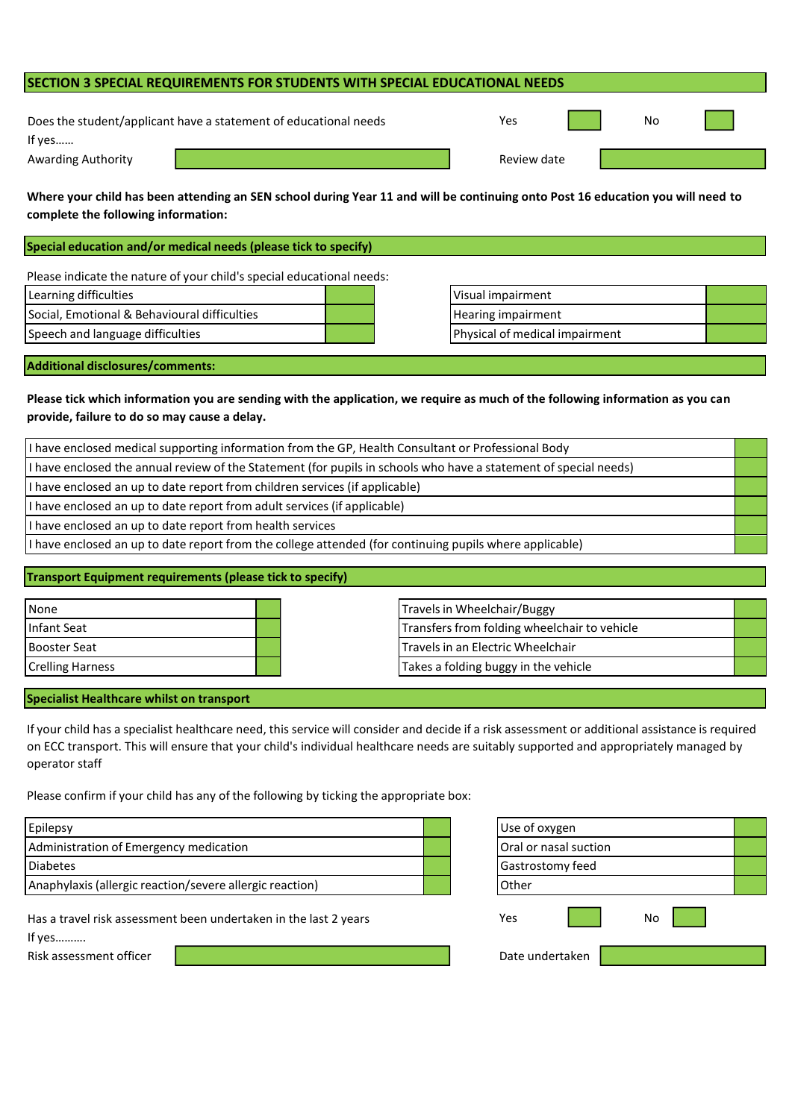# **SECTION 3 SPECIAL REQUIREMENTS FOR STUDENTS WITH SPECIAL EDUCATIONAL NEEDS**

| Does the student/applicant have a statement of educational needs |
|------------------------------------------------------------------|
| If yes                                                           |
|                                                                  |

Awarding Authority

**Where your child has been attending an SEN school during Year 11 and will be continuing onto Post 16 education you will need to complete the following information:**

**Special education and/or medical needs (please tick to specify)**

Please indicate the nature of your child's special educational needs:

| Learning difficulties                        |  |
|----------------------------------------------|--|
| Social, Emotional & Behavioural difficulties |  |
| Speech and language difficulties             |  |

Visual impairment Hearing impairment Physical of medical impairment

### **Additional disclosures/comments:**

# **Please tick which information you are sending with the application, we require as much of the following information as you can provide, failure to do so may cause a delay.**

| I have enclosed medical supporting information from the GP, Health Consultant or Professional Body               |  |  |  |
|------------------------------------------------------------------------------------------------------------------|--|--|--|
| I have enclosed the annual review of the Statement (for pupils in schools who have a statement of special needs) |  |  |  |
| I have enclosed an up to date report from children services (if applicable)                                      |  |  |  |
| I have enclosed an up to date report from adult services (if applicable)                                         |  |  |  |
| I have enclosed an up to date report from health services                                                        |  |  |  |
| I have enclosed an up to date report from the college attended (for continuing pupils where applicable)          |  |  |  |

## **Transport Equipment requirements (please tick to specify)**

| None                    |  | Travels in Wheelchair/Buggy                  |  |
|-------------------------|--|----------------------------------------------|--|
| Infant Seat             |  | Transfers from folding wheelchair to vehicle |  |
| <b>Booster Seat</b>     |  | Travels in an Electric Wheelchair            |  |
| <b>Crelling Harness</b> |  | Takes a folding buggy in the vehicle         |  |

#### **Specialist Healthcare whilst on transport**

If your child has a specialist healthcare need, this service will consider and decide if a risk assessment or additional assistance is required on ECC transport. This will ensure that your child's individual healthcare needs are suitably supported and appropriately managed by operator staff

Please confirm if your child has any of the following by ticking the appropriate box:

| Administration of Emergency medication                   |  |
|----------------------------------------------------------|--|
|                                                          |  |
| <b>Diabetes</b>                                          |  |
| Anaphylaxis (allergic reaction/severe allergic reaction) |  |

Has a travel risk assessment been undertaken in the last 2 years

If yes……….

Risk assessment officer

| Use of oxygen         |  |
|-----------------------|--|
| Oral or nasal suction |  |
| Gastrostomy feed      |  |
| Other                 |  |
| No<br>Yes             |  |
| Date undertaken       |  |

| Yes         |  | No |  |
|-------------|--|----|--|
| Review date |  |    |  |